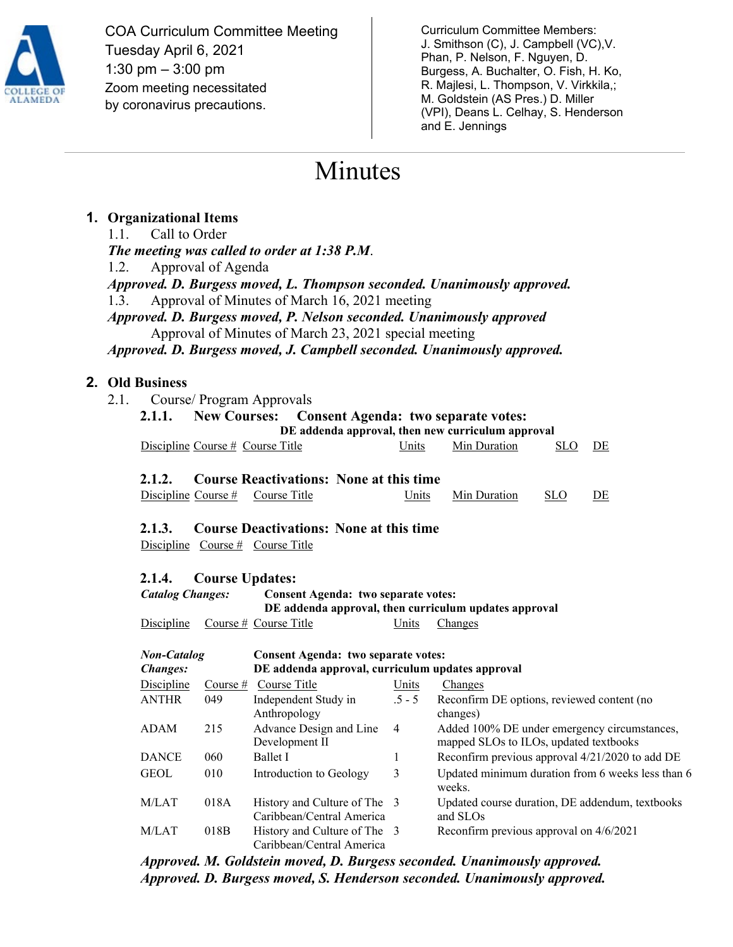

COA Curriculum Committee Meeting Tuesday April 6, 2021 1:30 pm – 3:00 pm Zoom meeting necessitated by coronavirus precautions.

Curriculum Committee Members: J. Smithson (C), J. Campbell (VC),V. Phan, P. Nelson, F. Nguyen, D. Burgess, A. Buchalter, O. Fish, H. Ko, R. Majlesi, L. Thompson, V. Virkkila,; M. Goldstein (AS Pres.) D. Miller (VPI), Deans L. Celhay, S. Henderson and E. Jennings

# Minutes

## **1. Organizational Items**

1.1. Call to Order

*The meeting was called to order at 1:38 P.M*.

1.2. Approval of Agenda

*Approved. D. Burgess moved, L. Thompson seconded. Unanimously approved.*  1.3. Approval of Minutes of March 16, 2021 meeting

*Approved. D. Burgess moved, P. Nelson seconded. Unanimously approved* Approval of Minutes of March 23, 2021 special meeting *Approved. D. Burgess moved, J. Campbell seconded. Unanimously approved.* 

### **2. Old Business**

2.1. Course/ Program Approvals **2.1.1. New Courses: Consent Agenda: two separate votes: DE addenda approval, then new curriculum approval** Discipline Course # Course Title Units Min Duration SLO DE

### **2.1.2. Course Reactivations: None at this time**

| Discipline Course $#$ Course Title | Units | Min Duration | SLO <sub>5</sub> |  |
|------------------------------------|-------|--------------|------------------|--|
|------------------------------------|-------|--------------|------------------|--|

### **2.1.3. Course Deactivations: None at this time**

Discipline Course # Course Title

#### **2.1.4. Course Updates:**

| <b>Catalog Changes:</b> | Consent Agenda: two separate votes:                   |       |         |  |
|-------------------------|-------------------------------------------------------|-------|---------|--|
|                         | DE addenda approval, then curriculum updates approval |       |         |  |
| Discipline              | Course $#$ Course Title                               | Units | Changes |  |

| <b>Non-Catalog</b><br><b>Changes:</b> |            | <b>Consent Agenda: two separate votes:</b><br>DE addenda approval, curriculum updates approval |                |                                                                                        |  |
|---------------------------------------|------------|------------------------------------------------------------------------------------------------|----------------|----------------------------------------------------------------------------------------|--|
| Discipline                            | Course $#$ | Course Title                                                                                   | Units          | Changes                                                                                |  |
| <b>ANTHR</b>                          | 049        | Independent Study in<br>Anthropology                                                           | $.5 - 5$       | Reconfirm DE options, reviewed content (no<br>changes)                                 |  |
| <b>ADAM</b>                           | 215        | Advance Design and Line<br>Development II                                                      | $\overline{4}$ | Added 100% DE under emergency circumstances,<br>mapped SLOs to ILOs, updated textbooks |  |
| <b>DANCE</b>                          | 060        | <b>Ballet I</b>                                                                                |                | Reconfirm previous approval 4/21/2020 to add DE                                        |  |
| <b>GEOL</b>                           | 010        | Introduction to Geology                                                                        | 3              | Updated minimum duration from 6 weeks less than 6<br>weeks.                            |  |
| M/LAT                                 | 018A       | History and Culture of The 3<br>Caribbean/Central America                                      |                | Updated course duration, DE addendum, textbooks<br>and SLOs                            |  |
| M/LAT                                 | 018B       | History and Culture of The 3<br>Caribbean/Central America                                      |                | Reconfirm previous approval on 4/6/2021                                                |  |

*Approved. M. Goldstein moved, D. Burgess seconded. Unanimously approved. Approved. D. Burgess moved, S. Henderson seconded. Unanimously approved.*